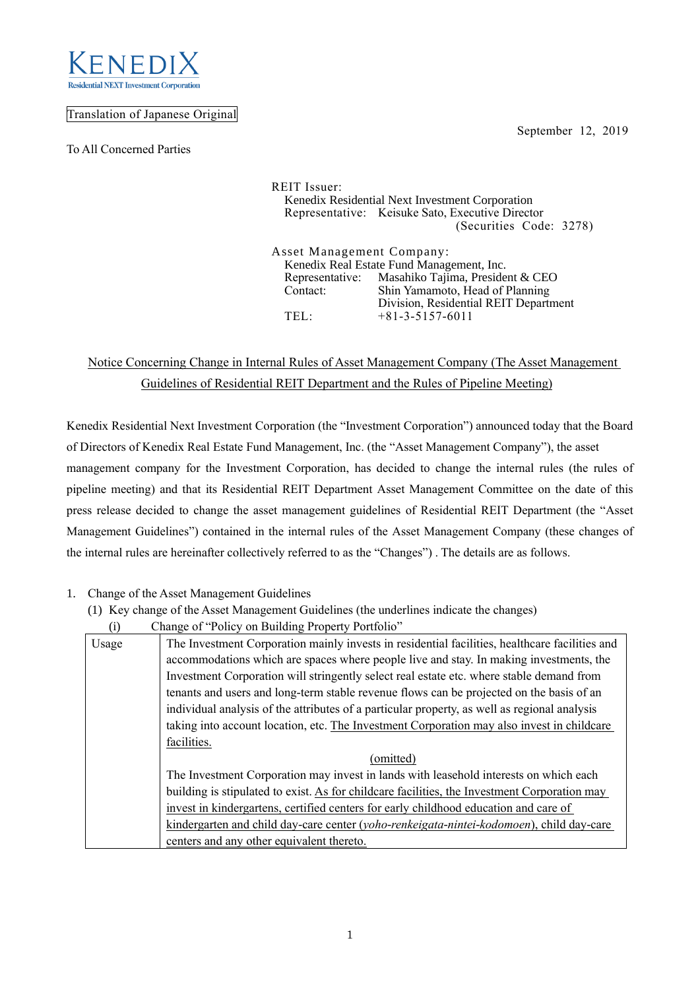

## Translation of Japanese Original

To All Concerned Parties

September 12, 2019

REIT Issuer: Kenedix Residential Next Investment Corporation Representative: Keisuke Sato, Executive Director (Securities Code: 3278) Asset Management Company: Kenedix Real Estate Fund Management, Inc. Representative: Masahiko Tajima, President & CEO<br>Contact: Shin Yamamoto, Head of Planning Shin Yamamoto, Head of Planning

Division, Residential REIT Department

# Notice Concerning Change in Internal Rules of Asset Management Company (The Asset Management Guidelines of Residential REIT Department and the Rules of Pipeline Meeting)

TEL: +81-3-5157-6011

Kenedix Residential Next Investment Corporation (the "Investment Corporation") announced today that the Board of Directors of Kenedix Real Estate Fund Management, Inc. (the "Asset Management Company"), the asset management company for the Investment Corporation, has decided to change the internal rules (the rules of pipeline meeting) and that its Residential REIT Department Asset Management Committee on the date of this press release decided to change the asset management guidelines of Residential REIT Department (the "Asset Management Guidelines") contained in the internal rules of the Asset Management Company (these changes of the internal rules are hereinafter collectively referred to as the "Changes") . The details are as follows.

- 1. Change of the Asset Management Guidelines
	- (1) Key change of the Asset Management Guidelines (the underlines indicate the changes)
		- (i) Change of "Policy on Building Property Portfolio"

| $\left( -\right)$ |                                                                                                |  |  |  |
|-------------------|------------------------------------------------------------------------------------------------|--|--|--|
| Usage             | The Investment Corporation mainly invests in residential facilities, healthcare facilities and |  |  |  |
|                   | accommodations which are spaces where people live and stay. In making investments, the         |  |  |  |
|                   | Investment Corporation will stringently select real estate etc. where stable demand from       |  |  |  |
|                   | tenants and users and long-term stable revenue flows can be projected on the basis of an       |  |  |  |
|                   | individual analysis of the attributes of a particular property, as well as regional analysis   |  |  |  |
|                   | taking into account location, etc. The Investment Corporation may also invest in childcare     |  |  |  |
|                   | facilities.                                                                                    |  |  |  |
|                   | (omitted)                                                                                      |  |  |  |
|                   | The Investment Corporation may invest in lands with leasehold interests on which each          |  |  |  |
|                   | building is stipulated to exist. As for childcare facilities, the Investment Corporation may   |  |  |  |
|                   | invest in kindergartens, certified centers for early childhood education and care of           |  |  |  |
|                   | kindergarten and child day-care center (yoho-renkeigata-nintei-kodomoen), child day-care       |  |  |  |
|                   | centers and any other equivalent thereto.                                                      |  |  |  |
|                   |                                                                                                |  |  |  |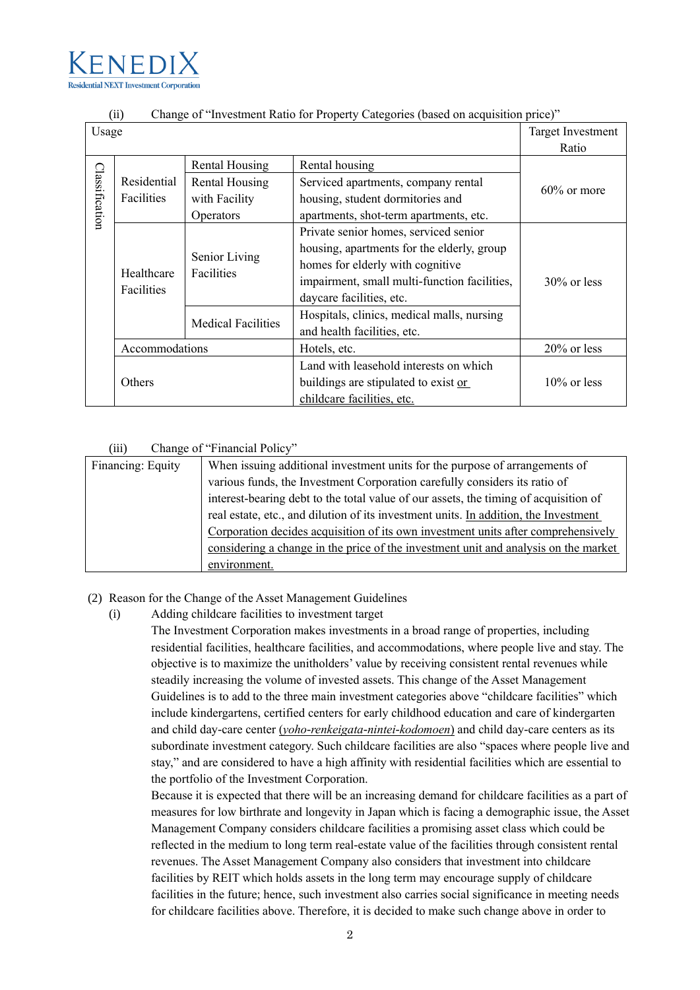

| (ii)<br>Change of "Investment Ratio for Property Categories (based on acquisition price)" |                          |                             |                                              |                |  |
|-------------------------------------------------------------------------------------------|--------------------------|-----------------------------|----------------------------------------------|----------------|--|
| Usage                                                                                     |                          |                             | <b>Target Investment</b>                     |                |  |
|                                                                                           |                          |                             |                                              | Ratio          |  |
| Classification                                                                            |                          | Rental Housing              | Rental housing                               |                |  |
|                                                                                           | Residential              | <b>Rental Housing</b>       | Serviced apartments, company rental          |                |  |
|                                                                                           | Facilities               | with Facility               | housing, student dormitories and             | $60\%$ or more |  |
|                                                                                           |                          | Operators                   | apartments, shot-term apartments, etc.       |                |  |
|                                                                                           | Healthcare<br>Facilities | Senior Living<br>Facilities | Private senior homes, serviced senior        |                |  |
|                                                                                           |                          |                             | housing, apartments for the elderly, group   |                |  |
|                                                                                           |                          |                             | homes for elderly with cognitive             |                |  |
|                                                                                           |                          |                             | impairment, small multi-function facilities, | $30\%$ or less |  |
|                                                                                           |                          |                             | daycare facilities, etc.                     |                |  |
|                                                                                           |                          | <b>Medical Facilities</b>   | Hospitals, clinics, medical malls, nursing   |                |  |
|                                                                                           |                          |                             | and health facilities, etc.                  |                |  |
|                                                                                           | Accommodations           |                             | Hotels, etc.                                 | $20\%$ or less |  |
|                                                                                           | Others                   |                             | Land with leasehold interests on which       |                |  |
|                                                                                           |                          |                             | buildings are stipulated to exist or         | $10\%$ or less |  |
|                                                                                           |                          |                             | childcare facilities, etc.                   |                |  |

## (ii) Change of "Investment Ratio for Property Categories (based on acquisition price)"

#### (iii) Change of "Financial Policy"

| Financing: Equity | When issuing additional investment units for the purpose of arrangements of          |
|-------------------|--------------------------------------------------------------------------------------|
|                   | various funds, the Investment Corporation carefully considers its ratio of           |
|                   | interest-bearing debt to the total value of our assets, the timing of acquisition of |
|                   | real estate, etc., and dilution of its investment units. In addition, the Investment |
|                   | Corporation decides acquisition of its own investment units after comprehensively    |
|                   | considering a change in the price of the investment unit and analysis on the market  |
|                   | environment.                                                                         |

## (2) Reason for the Change of the Asset Management Guidelines

(i) Adding childcare facilities to investment target

The Investment Corporation makes investments in a broad range of properties, including residential facilities, healthcare facilities, and accommodations, where people live and stay. The objective is to maximize the unitholders' value by receiving consistent rental revenues while steadily increasing the volume of invested assets. This change of the Asset Management Guidelines is to add to the three main investment categories above "childcare facilities" which include kindergartens, certified centers for early childhood education and care of kindergarten and child day-care center (*yoho-renkeigata-nintei-kodomoen*) and child day-care centers as its subordinate investment category. Such childcare facilities are also "spaces where people live and stay," and are considered to have a high affinity with residential facilities which are essential to the portfolio of the Investment Corporation.

Because it is expected that there will be an increasing demand for childcare facilities as a part of measures for low birthrate and longevity in Japan which is facing a demographic issue, the Asset Management Company considers childcare facilities a promising asset class which could be reflected in the medium to long term real-estate value of the facilities through consistent rental revenues. The Asset Management Company also considers that investment into childcare facilities by REIT which holds assets in the long term may encourage supply of childcare facilities in the future; hence, such investment also carries social significance in meeting needs for childcare facilities above. Therefore, it is decided to make such change above in order to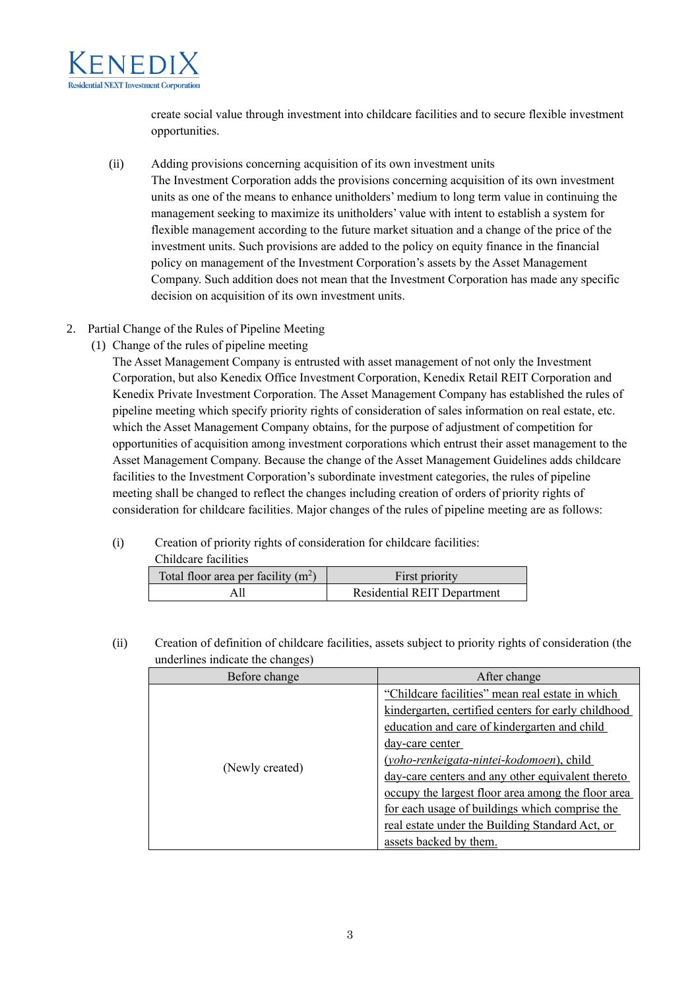

create social value through investment into childcare facilities and to secure flexible investment opportunities.

- (ii) Adding provisions concerning acquisition of its own investment units The Investment Corporation adds the provisions concerning acquisition of its own investment units as one of the means to enhance unitholders' medium to long term value in continuing the management seeking to maximize its unitholders' value with intent to establish a system for flexible management according to the future market situation and a change of the price of the investment units. Such provisions are added to the policy on equity finance in the financial policy on management of the Investment Corporation's assets by the Asset Management Company. Such addition does not mean that the Investment Corporation has made any specific decision on acquisition of its own investment units.
- 2. Partial Change of the Rules of Pipeline Meeting
	- (1) Change of the rules of pipeline meeting

The Asset Management Company is entrusted with asset management of not only the Investment Corporation, but also Kenedix Office Investment Corporation, Kenedix Retail REIT Corporation and Kenedix Private Investment Corporation. The Asset Management Company has established the rules of pipeline meeting which specify priority rights of consideration of sales information on real estate, etc. which the Asset Management Company obtains, for the purpose of adjustment of competition for opportunities of acquisition among investment corporations which entrust their asset management to the Asset Management Company. Because the change of the Asset Management Guidelines adds childcare facilities to the Investment Corporation's subordinate investment categories, the rules of pipeline meeting shall be changed to reflect the changes including creation of orders of priority rights of consideration for childcare facilities. Major changes of the rules of pipeline meeting are as follows:

(i) Creation of priority rights of consideration for childcare facilities:

| Childcare facilities                  |                                    |  |  |  |
|---------------------------------------|------------------------------------|--|--|--|
| Total floor area per facility $(m^2)$ | First priority                     |  |  |  |
|                                       | <b>Residential REIT Department</b> |  |  |  |

(ii) Creation of definition of childcare facilities, assets subject to priority rights of consideration (the underlines indicate the changes)

| Before change   | After change                                                                                                                                                                                                             |
|-----------------|--------------------------------------------------------------------------------------------------------------------------------------------------------------------------------------------------------------------------|
|                 | "Childcare facilities" mean real estate in which<br>kindergarten, certified centers for early childhood<br>education and care of kindergarten and child                                                                  |
| (Newly created) | day-care center<br>(yoho-renkeigata-nintei-kodomoen), child<br>day-care centers and any other equivalent thereto<br>occupy the largest floor area among the floor area<br>for each usage of buildings which comprise the |
|                 | real estate under the Building Standard Act, or<br>assets backed by them.                                                                                                                                                |